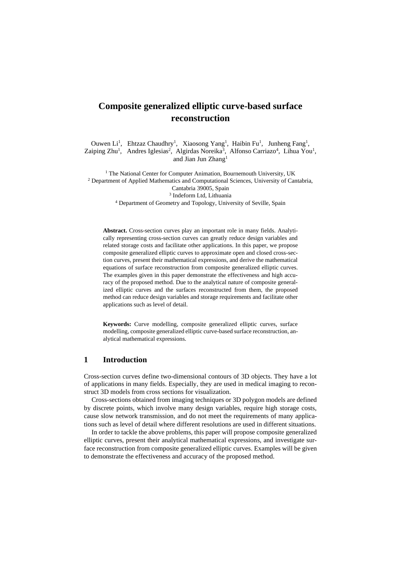# **Composite generalized elliptic curve-based surface reconstruction**

Ouwen Li<sup>1</sup>, Ehtzaz Chaudhry<sup>1</sup>, Xiaosong Yang<sup>1</sup>, Haibin Fu<sup>1</sup>, Junheng Fang<sup>1</sup>, Zaiping Zhu<sup>1</sup>, Andres Iglesias<sup>2</sup>, Algirdas Noreika<sup>3</sup>, Alfonso Carriazo<sup>4</sup>, Lihua You<sup>1</sup>, and Jian Jun Zhang<sup>1</sup>

<sup>1</sup> The National Center for Computer Animation, Bournemouth University, UK <sup>2</sup> Department of Applied Mathematics and Computational Sciences, University of Cantabria, Cantabria 39005, Spain 3 Indeform Ltd, Lithuania

<sup>4</sup> Department of Geometry and Topology, University of Seville, Spain

**Abstract.** Cross-section curves play an important role in many fields. Analytically representing cross-section curves can greatly reduce design variables and related storage costs and facilitate other applications. In this paper, we propose composite generalized elliptic curves to approximate open and closed cross-section curves, present their mathematical expressions, and derive the mathematical equations of surface reconstruction from composite generalized elliptic curves. The examples given in this paper demonstrate the effectiveness and high accuracy of the proposed method. Due to the analytical nature of composite generalized elliptic curves and the surfaces reconstructed from them, the proposed method can reduce design variables and storage requirements and facilitate other applications such as level of detail.

**Keywords:** Curve modelling, composite generalized elliptic curves, surface modelling, composite generalized elliptic curve-based surface reconstruction, analytical mathematical expressions.

### **1 Introduction**

Cross-section curves define two-dimensional contours of 3D objects. They have a lot of applications in many fields. Especially, they are used in medical imaging to reconstruct 3D models from cross sections for visualization.

Cross-sections obtained from imaging techniques or 3D polygon models are defined by discrete points, which involve many design variables, require high storage costs, cause slow network transmission, and do not meet the requirements of many applications such as level of detail where different resolutions are used in different situations.

In order to tackle the above problems, this paper will propose composite generalized elliptic curves, present their analytical mathematical expressions, and investigate surface reconstruction from composite generalized elliptic curves. Examples will be given to demonstrate the effectiveness and accuracy of the proposed method.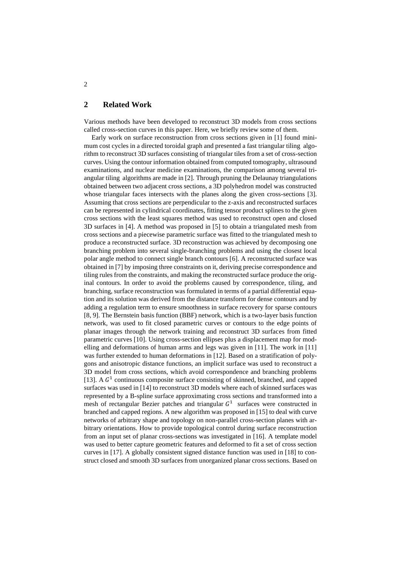## **2 Related Work**

Various methods have been developed to reconstruct 3D models from cross sections called cross-section curves in this paper. Here, we briefly review some of them.

Early work on surface reconstruction from cross sections given in [1] found minimum cost cycles in a directed toroidal graph and presented a fast triangular tiling algorithm to reconstruct 3D surfaces consisting of triangular tiles from a set of cross-section curves. Using the contour information obtained from computed tomography, ultrasound examinations, and nuclear medicine examinations, the comparison among several triangular tiling algorithms are made in [2]. Through pruning the Delaunay triangulations obtained between two adjacent cross sections, a 3D polyhedron model was constructed whose triangular faces intersects with the planes along the given cross-sections [3]. Assuming that cross sections are perpendicular to the z-axis and reconstructed surfaces can be represented in cylindrical coordinates, fitting tensor product splines to the given cross sections with the least squares method was used to reconstruct open and closed 3D surfaces in [4]. A method was proposed in [5] to obtain a triangulated mesh from cross sections and a piecewise parametric surface was fitted to the triangulated mesh to produce a reconstructed surface. 3D reconstruction was achieved by decomposing one branching problem into several single-branching problems and using the closest local polar angle method to connect single branch contours [6]. A reconstructed surface was obtained in [7] by imposing three constraints on it, deriving precise correspondence and tiling rules from the constraints, and making the reconstructed surface produce the original contours. In order to avoid the problems caused by correspondence, tiling, and branching, surface reconstruction was formulated in terms of a partial differential equation and its solution was derived from the distance transform for dense contours and by adding a regulation term to ensure smoothness in surface recovery for sparse contours [8, 9]. The Bernstein basis function (BBF) network, which is a two-layer basis function network, was used to fit closed parametric curves or contours to the edge points of planar images through the network training and reconstruct 3D surfaces from fitted parametric curves [10]. Using cross-section ellipses plus a displacement map for modelling and deformations of human arms and legs was given in [11]. The work in [11] was further extended to human deformations in [12]. Based on a stratification of polygons and anisotropic distance functions, an implicit surface was used to reconstruct a 3D model from cross sections, which avoid correspondence and branching problems [13]. A  $G<sup>1</sup>$  continuous composite surface consisting of skinned, branched, and capped surfaces was used in [14] to reconstruct 3D models where each of skinned surfaces was represented by a B-spline surface approximating cross sections and transformed into a mesh of rectangular Bezier patches and triangular  $G<sup>1</sup>$  surfaces were constructed in branched and capped regions. A new algorithm was proposed in [15] to deal with curve networks of arbitrary shape and topology on non-parallel cross-section planes with arbitrary orientations. How to provide topological control during surface reconstruction from an input set of planar cross-sections was investigated in [16]. A template model was used to better capture geometric features and deformed to fit a set of cross section curves in [17]. A globally consistent signed distance function was used in [18] to construct closed and smooth 3D surfaces from unorganized planar cross sections. Based on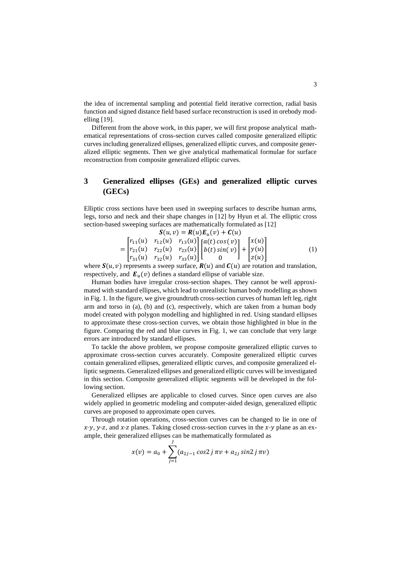the idea of incremental sampling and potential field iterative correction, radial basis function and signed distance field based surface reconstruction is used in orebody modelling [19].

Different from the above work, in this paper, we will first propose analytical mathematical representations of cross-section curves called composite generalized elliptic curves including generalized ellipses, generalized elliptic curves, and composite generalized elliptic segments. Then we give analytical mathematical formulae for surface reconstruction from composite generalized elliptic curves.

## **3 Generalized ellipses (GEs) and generalized elliptic curves (GECs)**

Elliptic cross sections have been used in sweeping surfaces to describe human arms, legs, torso and neck and their shape changes in [12] by Hyun et al. The elliptic cross section-based sweeping surfaces are mathematically formulated as [12]

$$
\mathbf{S}(u,v) = \mathbf{R}(u)\mathbf{E}_u(v) + \mathbf{C}(u)
$$
  
= 
$$
\begin{bmatrix} r_{11}(u) & r_{12}(u) & r_{13}(u) \\ r_{21}(u) & r_{22}(u) & r_{23}(u) \\ r_{31}(u) & r_{32}(u) & r_{33}(u) \end{bmatrix} \begin{bmatrix} a(t) \cos(v) \\ b(t) \sin(v) \\ 0 \end{bmatrix} + \begin{bmatrix} x(u) \\ y(u) \\ z(u) \end{bmatrix}
$$
 (1)

where  $S(u, v)$  represents a sweep surface,  $R(u)$  and  $C(u)$  are rotation and translation, respectively, and  $E_u(v)$  defines a standard ellipse of variable size.

Human bodies have irregular cross-section shapes. They cannot be well approximated with standard ellipses, which lead to unrealistic human body modelling as shown in Fig. 1. In the figure, we give groundtruth cross-section curves of human left leg, right arm and torso in (a), (b) and (c), respectively, which are taken from a human body model created with polygon modelling and highlighted in red. Using standard ellipses to approximate these cross-section curves, we obtain those highlighted in blue in the figure. Comparing the red and blue curves in Fig. 1, we can conclude that very large errors are introduced by standard ellipses.

To tackle the above problem, we propose composite generalized elliptic curves to approximate cross-section curves accurately. Composite generalized elliptic curves contain generalized ellipses, generalized elliptic curves, and composite generalized elliptic segments. Generalized ellipses and generalized elliptic curves will be investigated in this section. Composite generalized elliptic segments will be developed in the following section.

Generalized ellipses are applicable to closed curves. Since open curves are also widely applied in geometric modeling and computer-aided design, generalized elliptic curves are proposed to approximate open curves.

Through rotation operations, cross-section curves can be changed to lie in one of  $x-y$ , y-z, and x-z planes. Taking closed cross-section curves in the x-y plane as an example, their generalized ellipses can be mathematically formulated as

$$
x(v) = a_0 + \sum_{j=1}^{J} (a_{2j-1} \cos 2j \pi v + a_{2j} \sin 2j \pi v)
$$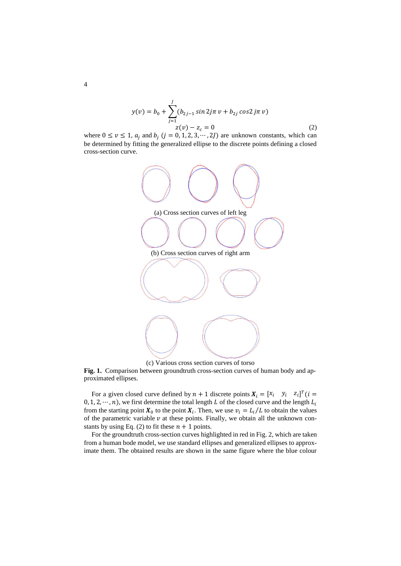$$
y(v) = b_0 + \sum_{j=1}^{J} (b_{2j-1} \sin 2j\pi v + b_{2j} \cos 2j\pi v)
$$
  

$$
z(v) - z_c = 0
$$
 (2)

where  $0 \le v \le 1$ ,  $a_i$  and  $b_i$   $(j = 0, 1, 2, 3, \dots, 2J)$  are unknown constants, which can be determined by fitting the generalized ellipse to the discrete points defining a closed cross-section curve.



(c) Various cross section curves of torso

**Fig. 1.** Comparison between groundtruth cross-section curves of human body and approximated ellipses.

For a given closed curve defined by  $n + 1$  discrete points  $X_i = [x_i \quad y_i \quad z_i]^T (i =$  $0, 1, 2, \dots, n$ , we first determine the total length L of the closed curve and the length  $L_i$ from the starting point  $X_0$  to the point  $X_i$ . Then, we use  $v_i = L_i/L$  to obtain the values of the parametric variable  $\nu$  at these points. Finally, we obtain all the unknown constants by using Eq. (2) to fit these  $n + 1$  points.

For the groundtruth cross-section curves highlighted in red in Fig. 2, which are taken from a human bode model, we use standard ellipses and generalized ellipses to approximate them. The obtained results are shown in the same figure where the blue colour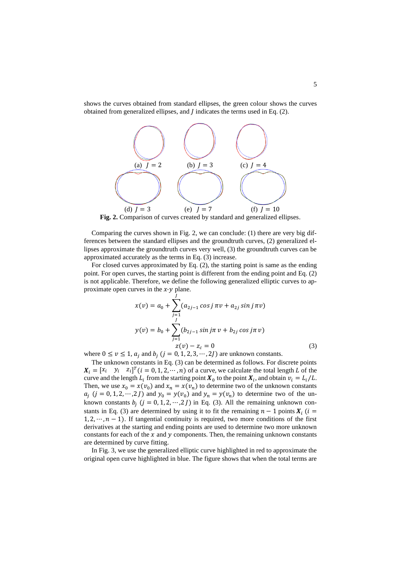shows the curves obtained from standard ellipses, the green colour shows the curves obtained from generalized ellipses, and  *indicates the terms used in Eq. (2).* 



Fig. 2. Comparison of curves created by standard and generalized ellipses.

Comparing the curves shown in Fig. 2, we can conclude: (1) there are very big differences between the standard ellipses and the groundtruth curves, (2) generalized ellipses approximate the groundtruth curves very well, (3) the groundtruth curves can be approximated accurately as the terms in Eq. (3) increase.

For closed curves approximated by Eq. (2), the starting point is same as the ending point. For open curves, the starting point is different from the ending point and Eq. (2) is not applicable. Therefore, we define the following generalized elliptic curves to approximate open curves in the  $x-y$  plane.

$$
x(v) = a_0 + \sum_{j=1}^{J} (a_{2j-1} \cos j \pi v + a_{2j} \sin j \pi v)
$$
  

$$
y(v) = b_0 + \sum_{j=1}^{J} (b_{2j-1} \sin j \pi v + b_{2j} \cos j \pi v)
$$
  

$$
z(v) - z_c = 0
$$
 (3)

where  $0 \le v \le 1$ ,  $a_i$  and  $b_i$   $(j = 0, 1, 2, 3, \dots, 2J)$  are unknown constants.

The unknown constants in Eq. (3) can be determined as follows. For discrete points  $X_i = [x_i \quad y_i \quad z_i]^T (i = 0, 1, 2, \dots, n)$  of a curve, we calculate the total length L of the curve and the length  $L_i$  from the starting point  $X_0$  to the point  $X_i$ , and obtain  $v_i = L_i/L$ . Then, we use  $x_0 = x(v_0)$  and  $x_n = x(v_n)$  to determine two of the unknown constants  $a_j$   $(j = 0, 1, 2, \dots, 2 J)$  and  $y_0 = y(v_0)$  and  $y_n = y(v_n)$  to determine two of the unknown constants  $b_i$   $(j = 0, 1, 2, \dots, 2J)$  in Eq. (3). All the remaining unknown constants in Eq. (3) are determined by using it to fit the remaining  $n - 1$  points  $X_i$  ( $i =$  $1, 2, \dots, n-1$ ). If tangential continuity is required, two more conditions of the first derivatives at the starting and ending points are used to determine two more unknown constants for each of the  $x$  and  $y$  components. Then, the remaining unknown constants are determined by curve fitting.

In Fig. 3, we use the generalized elliptic curve highlighted in red to approximate the original open curve highlighted in blue. The figure shows that when the total terms are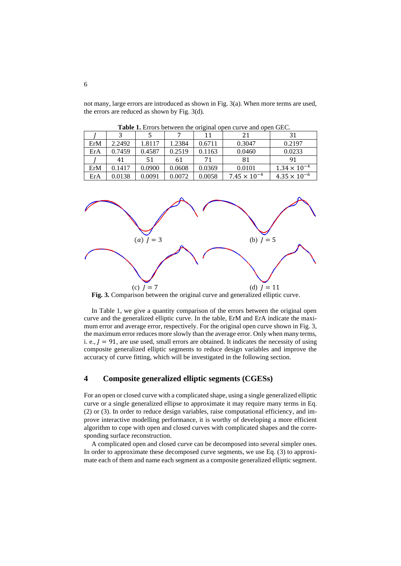not many, large errors are introduced as shown in Fig. 3(a). When more terms are used, the errors are reduced as shown by Fig. 3(d).

|     |        |        |        | 11     | 21                    | 31                    |
|-----|--------|--------|--------|--------|-----------------------|-----------------------|
| ErM | 2.2492 | 1.8117 | 1.2384 | 0.6711 | 0.3047                | 0.2197                |
| ErA | 0.7459 | 0.4587 | 0.2519 | 0.1163 | 0.0460                | 0.0233                |
|     | 41     | 51     | 61     | 71     | 81                    | 91                    |
| ErM | 0.1417 | 0.0900 | 0.0608 | 0.0369 | 0.0101                | $1.34 \times 10^{-4}$ |
| ErA | 0.0138 | 0.0091 | 0.0072 | 0.0058 | $7.45 \times 10^{-4}$ | $4.35 \times 10^{-6}$ |

**Table 1.** Errors between the original open curve and open GEC.



**Fig. 3.** Comparison between the original curve and generalized elliptic curve.

In Table 1, we give a quantity comparison of the errors between the original open curve and the generalized elliptic curve. In the table, ErM and ErA indicate the maximum error and average error, respectively. For the original open curve shown in Fig. 3, the maximum error reduces more slowly than the average error. Only when many terms, i. e.,  $J = 91$ , are use used, small errors are obtained. It indicates the necessity of using composite generalized elliptic segments to reduce design variables and improve the accuracy of curve fitting, which will be investigated in the following section.

## **4 Composite generalized elliptic segments (CGESs)**

For an open or closed curve with a complicated shape, using a single generalized elliptic curve or a single generalized ellipse to approximate it may require many terms in Eq. (2) or (3). In order to reduce design variables, raise computational efficiency, and improve interactive modelling performance, it is worthy of developing a more efficient algorithm to cope with open and closed curves with complicated shapes and the corresponding surface reconstruction.

A complicated open and closed curve can be decomposed into several simpler ones. In order to approximate these decomposed curve segments, we use Eq. (3) to approximate each of them and name each segment as a composite generalized elliptic segment.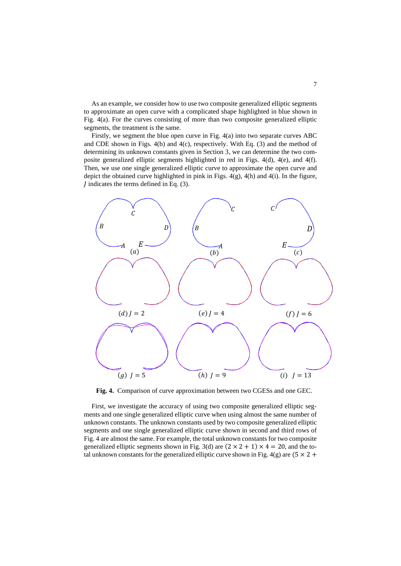As an example, we consider how to use two composite generalized elliptic segments to approximate an open curve with a complicated shape highlighted in blue shown in Fig. 4(a). For the curves consisting of more than two composite generalized elliptic segments, the treatment is the same.

Firstly, we segment the blue open curve in Fig. 4(a) into two separate curves ABC and CDE shown in Figs. 4(b) and 4(c), respectively. With Eq. (3) and the method of determining its unknown constants given in Section 3, we can determine the two composite generalized elliptic segments highlighted in red in Figs. 4(d), 4(e), and 4(f). Then, we use one single generalized elliptic curve to approximate the open curve and depict the obtained curve highlighted in pink in Figs.  $4(g)$ ,  $4(h)$  and  $4(i)$ . In the figure,  $\overline{I}$  indicates the terms defined in Eq. (3).



**Fig. 4.** Comparison of curve approximation between two CGESs and one GEC.

First, we investigate the accuracy of using two composite generalized elliptic segments and one single generalized elliptic curve when using almost the same number of unknown constants. The unknown constants used by two composite generalized elliptic segments and one single generalized elliptic curve shown in second and third rows of Fig. 4 are almost the same. For example, the total unknown constants for two composite generalized elliptic segments shown in Fig. 3(d) are  $(2 \times 2 + 1) \times 4 = 20$ , and the total unknown constants for the generalized elliptic curve shown in Fig. 4(g) are  $(5 \times 2 +$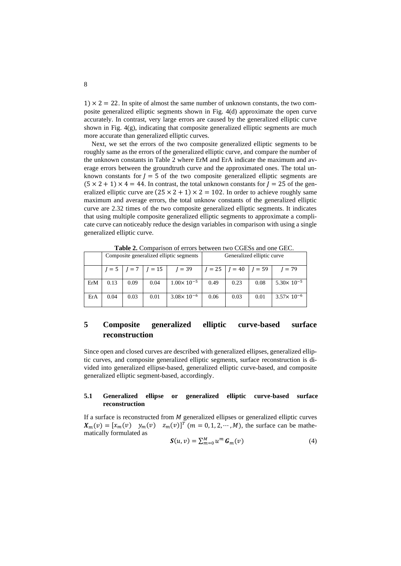$1) \times 2 = 22$ . In spite of almost the same number of unknown constants, the two composite generalized elliptic segments shown in Fig. 4(d) approximate the open curve accurately. In contrast, very large errors are caused by the generalized elliptic curve shown in Fig. 4(g), indicating that composite generalized elliptic segments are much more accurate than generalized elliptic curves.

Next, we set the errors of the two composite generalized elliptic segments to be roughly same as the errors of the generalized elliptic curve, and compare the number of the unknown constants in Table 2 where ErM and ErA indicate the maximum and average errors between the groundtruth curve and the approximated ones. The total unknown constants for  $J = 5$  of the two composite generalized elliptic segments are  $(5 \times 2 + 1) \times 4 = 44$ . In contrast, the total unknown constants for  $J = 25$  of the generalized elliptic curve are  $(25 \times 2 + 1) \times 2 = 102$ . In order to achieve roughly same maximum and average errors, the total unknow constants of the generalized elliptic curve are 2.32 times of the two composite generalized elliptic segments. It indicates that using multiple composite generalized elliptic segments to approximate a complicate curve can noticeably reduce the design variables in comparison with using a single generalized elliptic curve.

| <b>Table 2.</b> Combatison of citors between two COLSS and one OEC. |                                         |         |          |                       |                            |          |          |                       |  |  |  |  |
|---------------------------------------------------------------------|-----------------------------------------|---------|----------|-----------------------|----------------------------|----------|----------|-----------------------|--|--|--|--|
|                                                                     | Composite generalized elliptic segments |         |          |                       | Generalized elliptic curve |          |          |                       |  |  |  |  |
|                                                                     | $l = 5$                                 | $I = 7$ | $l = 15$ | $I = 39$              | $I = 25$                   | $I = 40$ | $I = 59$ | $I = 79$              |  |  |  |  |
| ErM                                                                 | 0.13                                    | 0.09    | 0.04     | $1.00 \times 10^{-5}$ | 0.49                       | 0.23     | 0.08     | $5.30 \times 10^{-5}$ |  |  |  |  |
| ErA                                                                 | 0.04                                    | 0.03    | 0.01     | $3.08 \times 10^{-6}$ | 0.06                       | 0.03     | 0.01     | $3.57 \times 10^{-6}$ |  |  |  |  |

**Table 2.** Comparison of errors between two CGESs and one GEC.

## **5 Composite generalized elliptic curve-based surface reconstruction**

Since open and closed curves are described with generalized ellipses, generalized elliptic curves, and composite generalized elliptic segments, surface reconstruction is divided into generalized ellipse-based, generalized elliptic curve-based, and composite generalized elliptic segment-based, accordingly.

#### **5.1 Generalized ellipse or generalized elliptic curve-based surface reconstruction**

If a surface is reconstructed from  $M$  generalized ellipses or generalized elliptic curves  $X_m(v) = [x_m(v) \quad y_m(v) \quad z_m(v)]^T$   $(m = 0, 1, 2, \dots, M)$ , the surface can be mathematically formulated as

$$
\mathbf{S}(u,v) = \sum_{m=0}^{M} u^m \, \mathbf{G}_m(v) \tag{4}
$$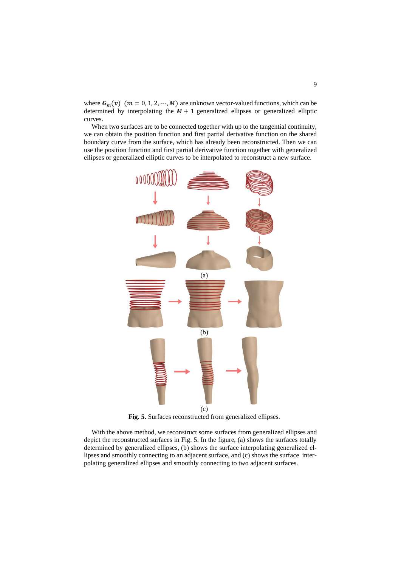where  $G_m(v)$  ( $m = 0, 1, 2, \cdots, M$ ) are unknown vector-valued functions, which can be determined by interpolating the  $M + 1$  generalized ellipses or generalized elliptic curves.

When two surfaces are to be connected together with up to the tangential continuity, we can obtain the position function and first partial derivative function on the shared boundary curve from the surface, which has already been reconstructed. Then we can use the position function and first partial derivative function together with generalized ellipses or generalized elliptic curves to be interpolated to reconstruct a new surface.



**Fig. 5.** Surfaces reconstructed from generalized ellipses.

With the above method, we reconstruct some surfaces from generalized ellipses and depict the reconstructed surfaces in Fig. 5. In the figure, (a) shows the surfaces totally determined by generalized ellipses, (b) shows the surface interpolating generalized ellipses and smoothly connecting to an adjacent surface, and (c) shows the surface interpolating generalized ellipses and smoothly connecting to two adjacent surfaces.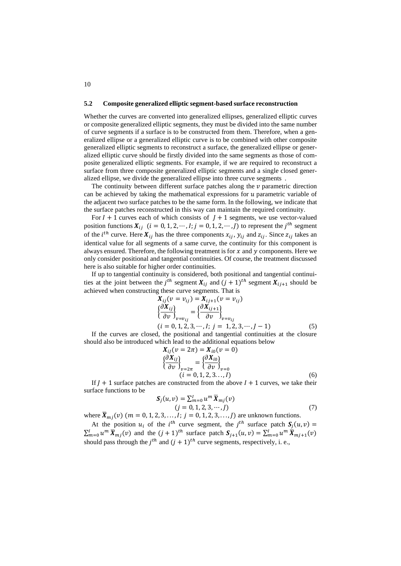#### **5.2 Composite generalized elliptic segment-based surface reconstruction**

Whether the curves are converted into generalized ellipses, generalized elliptic curves or composite generalized elliptic segments, they must be divided into the same number of curve segments if a surface is to be constructed from them. Therefore, when a generalized ellipse or a generalized elliptic curve is to be combined with other composite generalized elliptic segments to reconstruct a surface, the generalized ellipse or generalized elliptic curve should be firstly divided into the same segments as those of composite generalized elliptic segments. For example, if we are required to reconstruct a surface from three composite generalized elliptic segments and a single closed generalized ellipse, we divide the generalized ellipse into three curve segments .

The continuity between different surface patches along the  $\nu$  parametric direction can be achieved by taking the mathematical expressions for  $u$  parametric variable of the adjacent two surface patches to be the same form. In the following, we indicate that the surface patches reconstructed in this way can maintain the required continuity.

For  $I + 1$  curves each of which consists of  $J + 1$  segments, we use vector-valued position functions  $X_{ij}$   $(i = 0, 1, 2, \dots, I; j = 0, 1, 2, \dots, J)$  to represent the  $j^{th}$  segment of the *i*<sup>th</sup> curve. Here  $X_{ij}$  has the three components  $x_{ij}$ ,  $y_{ij}$  and  $z_{ij}$ . Since  $z_{ij}$  takes an identical value for all segments of a same curve, the continuity for this component is always ensured. Therefore, the following treatment is for  $x$  and  $y$  components. Here we only consider positional and tangential continuities. Of course, the treatment discussed here is also suitable for higher order continuities.

If up to tangential continuity is considered, both positional and tangential continuities at the joint between the *j*<sup>th</sup> segment  $X_{ij}$  and  $(j + 1)^{th}$  segment  $X_{ij+1}$  should be achieved when constructing these curve segments. That is

$$
X_{ij}(v = v_{ij}) = X_{ij+1}(v = v_{ij})
$$
  
\n
$$
\left\{\frac{\partial X_{ij}}{\partial v}\right\}_{v = v_{ij}} = \left\{\frac{\partial X_{ij+1}}{\partial v}\right\}_{v = v_{ij}}
$$
  
\n(*i* = 0, 1, 2, 3, ..., *I*; *j* = 1, 2, 3, ..., *J* - 1) (5)

If the curves are closed, the positional and tangential continuities at the closure should also be introduced which lead to the additional equations below

$$
X_{ij}(v = 2\pi) = X_{i0}(v = 0)
$$
  

$$
\left\{\frac{\partial X_{ij}}{\partial v}\right\}_{v=2\pi} = \left\{\frac{\partial X_{i0}}{\partial v}\right\}_{v=0}
$$
  
(*i* = 0, 1, 2, 3..., *I*) (6)

If  $I + 1$  surface patches are constructed from the above  $I + 1$  curves, we take their surface functions to be

$$
\mathbf{S}_{j}(u,v) = \sum_{m=0}^{I} u^{m} \overline{\mathbf{X}}_{mj}(v)
$$
  
(j = 0, 1, 2, 3, ..., J) (7)

where  $\bar{X}_{mi}(v)$  ( $m = 0, 1, 2, 3, ..., I$ ;  $j = 0, 1, 2, 3, ..., J$ ) are unknown functions.

At the position  $u_i$  of the *i*<sup>th</sup> curve segment, the *j*<sup>th</sup> surface patch  $S_j(u, v)$  =  $\sum_{m=0}^{l} u^m \overline{X}_{mj}(v)$  and the  $(j+1)^{th}$  surface patch  $S_{j+1}(u,v) = \sum_{m=0}^{l} u^m \overline{X}_{mj+1}(v)$ should pass through the  $j^{th}$  and  $(j + 1)^{th}$  curve segments, respectively, i. e.,

10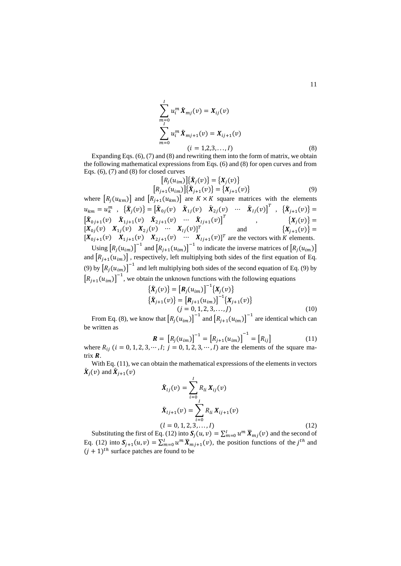$$
\sum_{\substack{m=0 \ n=0}}^{l} u_i^m \bar{X}_{mj}(v) = X_{ij}(v)
$$
\n
$$
\sum_{m=0}^{l} u_i^m \bar{X}_{mj+1}(v) = X_{ij+1}(v)
$$
\n
$$
(i = 1,2,3,...,l)
$$
\n(8)

Expanding Eqs. (6), (7) and (8) and rewriting them into the form of matrix, we obtain the following mathematical expressions from Eqs. (6) and (8) for open curves and from Eqs. (6), (7) and (8) for closed curves

$$
[R_j(u_{im})]\{\bar{X}_j(v)\} = \{X_j(v)\}
$$
  

$$
[R_{j+1}(u_{im})]\{\bar{X}_{j+1}(v)\} = \{X_{j+1}(v)\}
$$
 (9)

where  $[R_i(u_{km})]$  and  $[R_{i+1}(u_{km})]$  are  $K \times K$  square matrices with the elements  $u_{km} = u_{k}^{m} \;\; , \;\; \left\{ \bar{X}_{j}(v) \right\} = \begin{bmatrix} \bar{X}_{0j}(v) & \bar{X}_{1j}(v) & \bar{X}_{2j}(v) & \cdots & \bar{X}_{lj}(v) \end{bmatrix}^{T} \;\; , \;\; \left\{ \bar{X}_{j+1}(v) \right\} =$  $\begin{bmatrix} \bar{X}_{0j+1}(v) & \bar{X}_{1j+1}(v) & \bar{X}_{2j+1}(v) & \cdots & \bar{X}_{lj+1}(v) \end{bmatrix}^T$ ,  $\{X_j(v)\} =$  $[X_{0j}(v) \quad X_{1j}(v) \quad X_{2j}(v) \quad \cdots \quad X_{1j}(v)]^T$  and  $\{X_{j+1}(v)\} =$  $[X_{0j+1}(v) \quad X_{1j+1}(v) \quad X_{2j+1}(v) \quad \cdots \quad X_{1j+1}(v)]^T$  are the vectors with K elements. Using  $[R_j(u_{im})]^{-1}$  and  $[R_{j+1}(u_{im})]^{-1}$  to indicate the inverse matrices of  $[R_j(u_{im})]$ 

and  $[R_{j+1}(u_{im})]$ , respectively, left multiplying both sides of the first equation of Eq. (9) by  $[R_j(u_{im})]^{-1}$  and left multiplying both sides of the second equation of Eq. (9) by  $[R_{j+1}(u_{im})]^{-1}$ , we obtain the unknown functions with the following equations

$$
\{\bar{X}_j(v)\} = [R_j(u_{im})]^{-1} \{X_j(v)\}
$$
  
\n
$$
\{\bar{X}_{j+1}(v)\} = [R_{j+1}(u_{im})]^{-1} \{X_{j+1}(v)\}
$$
  
\n
$$
(j = 0, 1, 2, 3, ..., J)
$$
 (10)

From Eq. (8), we know that  $[R_j(u_{im})]^{-1}$  and  $[R_{j+1}(u_{im})]^{-1}$  are identical which can be written as

$$
\mathbf{R} = [R_j(u_{im})]^{-1} = [R_{j+1}(u_{im})]^{-1} = [R_{ij}]
$$
 (11)

where  $R_{ij}$  ( $i = 0, 1, 2, 3, \cdots, I; j = 0, 1, 2, 3, \cdots, I$ ) are the elements of the square matrix *.* 

With Eq. (11), we can obtain the mathematical expressions of the elements in vectors  $\bar{X}_j(v)$  and  $\bar{X}_{j+1}(v)$ 

$$
\bar{X}_{lj}(v) = \sum_{i=0}^{I} R_{li} X_{ij}(v)
$$
\n
$$
\bar{X}_{lj+1}(v) = \sum_{i=0}^{I} R_{li} X_{ij+1}(v)
$$
\n
$$
(l = 0, 1, 2, 3, ..., I)
$$
\n(12)

Substituting the first of Eq. (12) into  $S_j(u, v) = \sum_{m=0}^l u^m \overline{X}_{mj}(v)$  and the second of Eq. (12) into  $S_{j+1}(u, v) = \sum_{m=0}^{l} u^m \overline{X}_{mj+1}(v)$ , the position functions of the  $j^{th}$  and  $(j + 1)$ <sup>th</sup> surface patches are found to be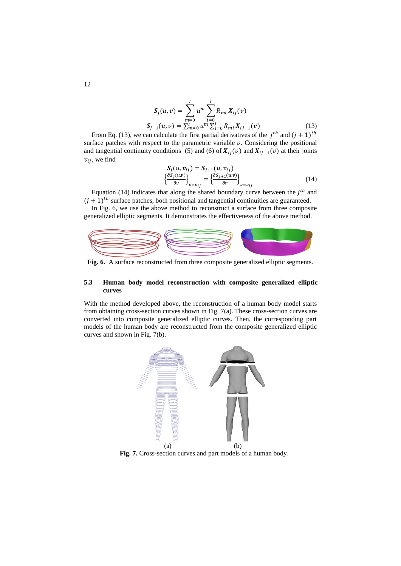$$
S_j(u, v) = \sum_{m=0}^{l} u^m \sum_{i=0}^{l} R_{mi} X_{ij}(v)
$$
  
\n
$$
S_{j+1}(u, v) = \sum_{m=0}^{l} u^m \sum_{i=0}^{l} R_{mi} X_{ij+1}(v)
$$
 (13)

From Eq. (13), we can calculate the first partial derivatives of the  $j^{th}$  and  $(j + 1)^{th}$ surface patches with respect to the parametric variable  $v$ . Considering the positional and tangential continuity conditions (5) and (6) of  $X_{ij}(v)$  and  $X_{ij+1}(v)$  at their joints  $v_{ii}$ , we find

$$
\begin{aligned} \mathbf{S}_j(u, v_{ij}) &= \mathbf{S}_{j+1}(u, v_{ij})\\ \left\{ \frac{\partial \mathbf{S}_j(u, v)}{\partial v} \right\}_{v = v_{ij}} &= \left\{ \frac{\partial \mathbf{S}_{j+1}(u, v)}{\partial v} \right\}_{v = v_{ij}} \end{aligned} \tag{14}
$$

Equation (14) indicates that along the shared boundary curve between the  $j<sup>th</sup>$  and  $(j + 1)$ <sup>th</sup> surface patches, both positional and tangential continuities are guaranteed.

In Fig. 6, we use the above method to reconstruct a surface from three composite generalized elliptic segments. It demonstrates the effectiveness of the above method.



**Fig. 6.** A surface reconstructed from three composite generalized elliptic segments.

#### **5.3 Human body model reconstruction with composite generalized elliptic curves**

With the method developed above, the reconstruction of a human body model starts from obtaining cross-section curves shown in Fig. 7(a). These cross-section curves are converted into composite generalized elliptic curves. Then, the corresponding part models of the human body are reconstructed from the composite generalized elliptic curves and shown in Fig. 7(b).



**Fig. 7.** Cross-section curves and part models of a human body.

12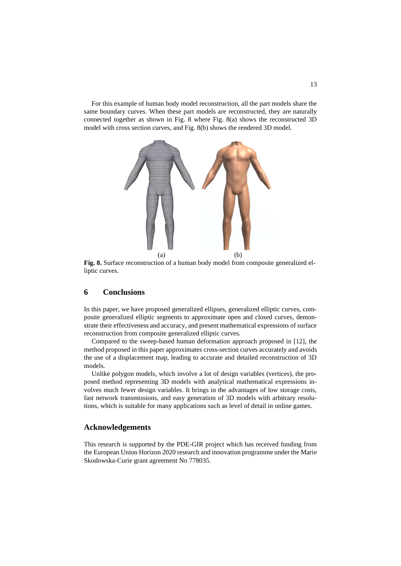For this example of human body model reconstruction, all the part models share the same boundary curves. When these part models are reconstructed, they are naturally connected together as shown in Fig. 8 where Fig. 8(a) shows the reconstructed 3D model with cross section curves, and Fig. 8(b) shows the rendered 3D model.



**Fig. 8.** Surface reconstruction of a human body model from composite generalized elliptic curves.

#### **6 Conclusions**

In this paper, we have proposed generalized ellipses, generalized elliptic curves, composite generalized elliptic segments to approximate open and closed curves, demonstrate their effectiveness and accuracy, and present mathematical expressions of surface reconstruction from composite generalized elliptic curves.

Compared to the sweep-based human deformation approach proposed in [12], the method proposed in this paper approximates cross-section curves accurately and avoids the use of a displacement map, leading to accurate and detailed reconstruction of 3D models.

Unlike polygon models, which involve a lot of design variables (vertices), the proposed method representing 3D models with analytical mathematical expressions involves much fewer design variables. It brings in the advantages of low storage costs, fast network transmissions, and easy generation of 3D models with arbitrary resolutions, which is suitable for many applications such as level of detail in online games.

#### **Acknowledgements**

This research is supported by the PDE-GIR project which has received funding from the European Union Horizon 2020 research and innovation programme under the Marie Skodowska-Curie grant agreement No 778035.